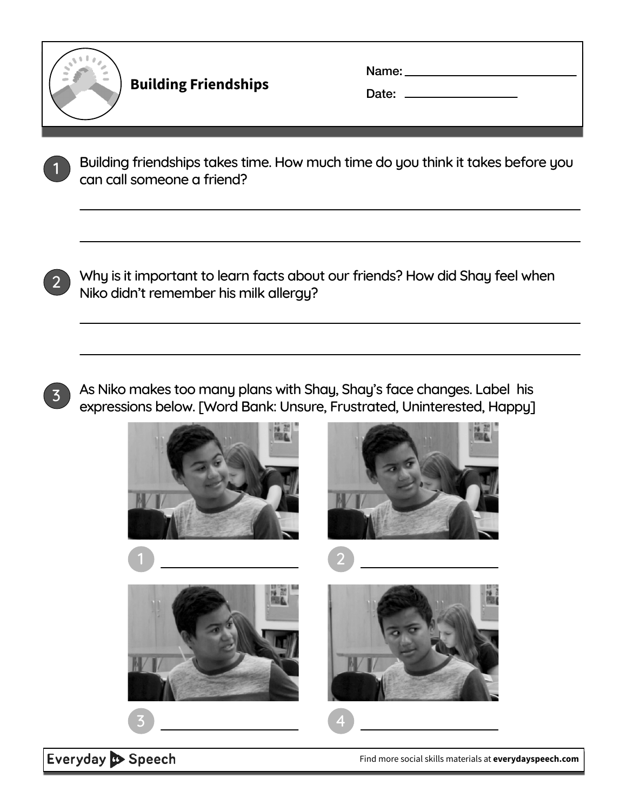

**Building Friendships**

Name:

Date:

1 Building friendships takes time. How much time do you think it takes before you can call someone a friend?



2 Why is it important to learn facts about our friends? How did Shay feel when Niko didn't remember his milk allergy?



As Niko makes too many plans with Shay, Shay's face changes. Label his expressions below. [Word Bank: Unsure, Frustrated, Uninterested, Happy]



Everyday Speech

[Find more social skills materials at](https://everydayspeech.com) **everydayspeech.com**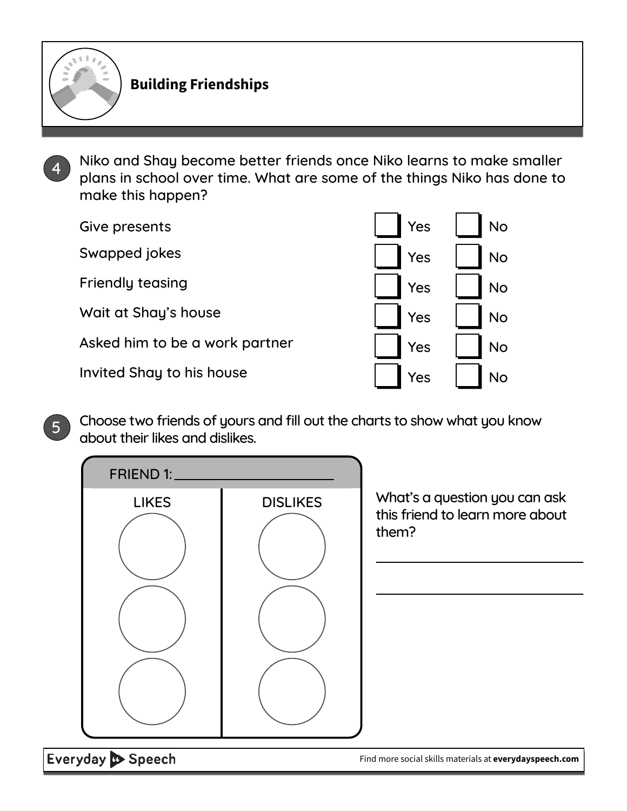

Niko and Shay become better friends once Niko learns to make smaller plans in school over time. What are some of the things Niko has done to make this happen?

| Give presents                  | Yes | <b>No</b> |
|--------------------------------|-----|-----------|
| Swapped jokes                  | Yes | <b>No</b> |
| <b>Friendly teasing</b>        | Yes | <b>No</b> |
| Wait at Shay's house           | Yes | <b>No</b> |
| Asked him to be a work partner | Yes | <b>No</b> |
| Invited Shay to his house      | Yes |           |

5 Choose two friends of yours and fill out the charts to show what you know about their likes and dislikes.



Everyday Speech

[Find more social skills materials at](https://everydayspeech.com) **everydayspeech.com**